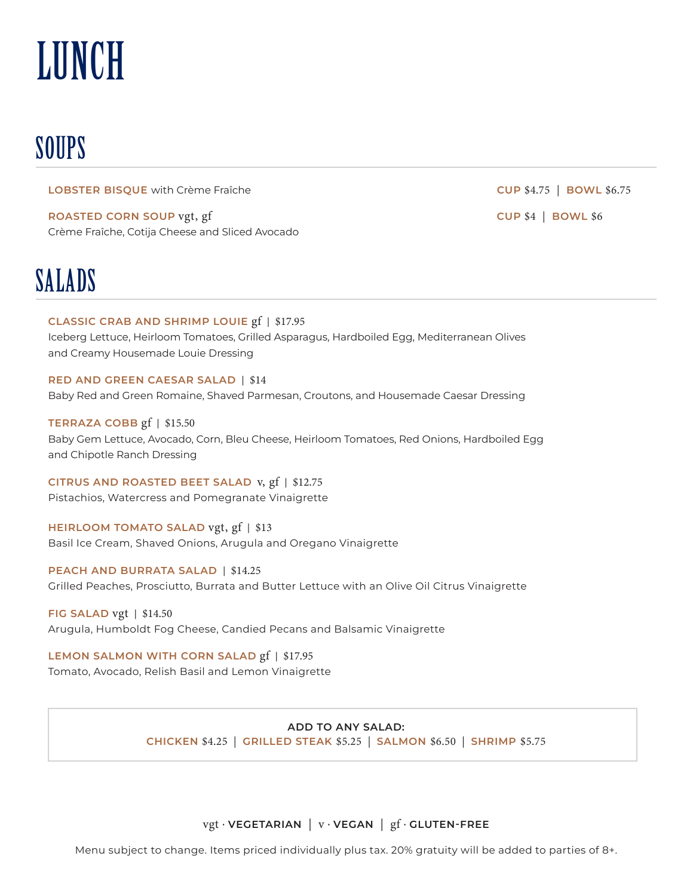# **LUNCH**

## **SOUPS**

**LOBSTER BISQUE** with Crème Fraîche **CUP BOWL 56.75** 

**ROASTED CORN SOUP** Crème Fraîche, Cotija Cheese and Sliced Avocado

### SALADS

**CLASSIC CRAB AND SHRIMP LOUIE** gf | \$17.95 Iceberg Lettuce, Heirloom Tomatoes, Grilled Asparagus, Hardboiled Egg, Mediterranean Olives

and Creamy Housemade Louie Dressing

#### **RED AND GREEN CAESAR SALAD** |

Baby Red and Green Romaine, Shaved Parmesan, Croutons, and Housemade Caesar Dressing

**TERRAZA COBB**  $gf$  | \$15.50

Baby Gem Lettuce, Avocado, Corn, Bleu Cheese, Heirloom Tomatoes, Red Onions, Hardboiled Egg and Chipotle Ranch Dressing

**CITRUS AND ROASTED BEET SALAD** v, gf | \$12.75 Pistachios, Watercress and Pomegranate Vinaigrette

**HEIRLOOM TOMATO SALAD** vgt, gf | \$13 Basil Ice Cream, Shaved Onions, Arugula and Oregano Vinaigrette

**PEACH AND BURRATA SALAD | \$14.25** Grilled Peaches, Prosciutto, Burrata and Butter Lettuce with an Olive Oil Citrus Vinaigrette

**FIG SALAD** vgt | \$14.50 Arugula, Humboldt Fog Cheese, Candied Pecans and Balsamic Vinaigrette

**LEMON SALMON WITH CORN SALAD gf | \$17.95** 

Tomato, Avocado, Relish Basil and Lemon Vinaigrette

### **ADD TO ANY SALAD:**

**CHICKEN** \$4.25 | **GRILLED STEAK** \$5.25 | **SALMON** \$6.50 | **SHRIMP** \$5.75

**vgt** · **VEGETARIAN** | **v** · **VEGAN** | **gf** · **GLUTEN-FREE** 

Menu subject to change. Items priced individually plus tax. 20% gratuity will be added to parties of 8+.

**CUP \$4 | BOWL \$6**